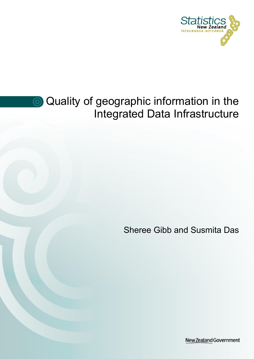

# **Quality of geographic information in the** Integrated Data Infrastructure

Sheree Gibb and Susmita Das

New Zealand Government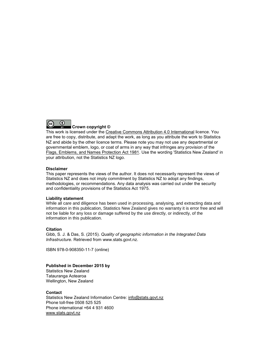

This work is licensed under the [Creative Commons Attribution 4.0 International](https://creativecommons.org/licenses/by/4.0/) licence. You are free to copy, distribute, and adapt the work, as long as you attribute the work to Statistics NZ and abide by the other licence terms. Please note you may not use any departmental or governmental emblem, logo, or coat of arms in any way that infringes any provision of the [Flags, Emblems, and Names Protection Act 1981.](http://www.legislation.govt.nz/act/public/1981/0047/latest/DLM51358.html) Use the wording 'Statistics New Zealand' in your attribution, not the Statistics NZ logo.

#### **Disclaimer**

This paper represents the views of the author. It does not necessarily represent the views of Statistics NZ and does not imply commitment by Statistics NZ to adopt any findings, methodologies, or recommendations. Any data analysis was carried out under the security and confidentiality provisions of the Statistics Act 1975.

#### **Liability statement**

While all care and diligence has been used in processing, analysing, and extracting data and information in this publication, Statistics New Zealand gives no warranty it is error free and will not be liable for any loss or damage suffered by the use directly, or indirectly, of the information in this publication.

#### **Citation**

Gibb, S. J. & Das, S. (2015). *Quality of geographic information in the Integrated Data Infrastructure.* Retrieved from www.stats.govt.nz.

ISBN 978-0-908350-11-7 (online)

#### **Published in December 2015 by**

Statistics New Zealand Tatauranga Aotearoa Wellington, New Zealand

#### **Contact**

Statistics New Zealand Information Centre: [info@stats.govt.nz](mailto:info@stats.govt.nz) Phone toll-free 0508 525 525 Phone international +64 4 931 4600 [www.stats.govt.nz](http://www.stats.govt.nz/)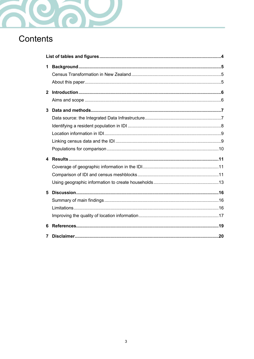

# Contents

| 1 |  |  |  |  |
|---|--|--|--|--|
|   |  |  |  |  |
| 3 |  |  |  |  |
| 4 |  |  |  |  |
| 5 |  |  |  |  |
| 6 |  |  |  |  |
| 7 |  |  |  |  |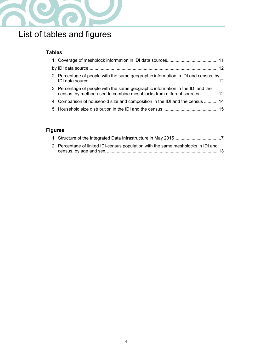

# <span id="page-3-0"></span>List of tables and figures

### **Tables**

| 2 Percentage of people with the same geographic information in IDI and census, by                                                                        |  |
|----------------------------------------------------------------------------------------------------------------------------------------------------------|--|
| 3 Percentage of people with the same geographic information in the IDI and the<br>census, by method used to combine meshblocks from different sources 12 |  |
| 4 Comparison of household size and composition in the IDI and the census 14                                                                              |  |
|                                                                                                                                                          |  |

### **Figures**

| 2 Percentage of linked IDI-census population with the same meshblocks in IDI and |
|----------------------------------------------------------------------------------|
|                                                                                  |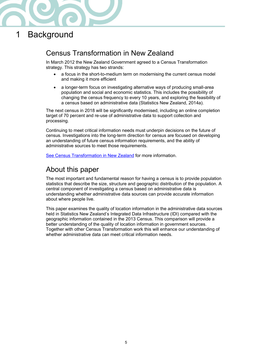

# <span id="page-4-0"></span>1 Background

### <span id="page-4-1"></span>Census Transformation in New Zealand

In March 2012 the New Zealand Government agreed to a Census Transformation strategy. This strategy has two strands:

- a focus in the short-to-medium term on modernising the current census model and making it more efficient
- a longer-term focus on investigating alternative ways of producing small-area population and social and economic statistics. This includes the possibility of changing the census frequency to every 10 years, and exploring the feasibility of a census based on administrative data (Statistics New Zealand, 2014a).

The next census in 2018 will be significantly modernised, including an online completion target of 70 percent and re-use of administrative data to support collection and processing.

Continuing to meet critical information needs must underpin decisions on the future of census. Investigations into the long-term direction for census are focused on developing an understanding of future census information requirements, and the ability of administrative sources to meet those requirements.

[See Census Transformation in New Zealand](http://www.stats.govt.nz/Census/census-transformation-nz.aspx) for more information.

### <span id="page-4-2"></span>About this paper

The most important and fundamental reason for having a census is to provide population statistics that describe the size, structure and geographic distribution of the population. A central component of investigating a census based on administrative data is understanding whether administrative data sources can provide accurate information about where people live.

This paper examines the quality of location information in the administrative data sources held in Statistics New Zealand's Integrated Data Infrastructure (IDI) compared with the geographic information contained in the 2013 Census. This comparison will provide a better understanding of the quality of location information in government sources. Together with other Census Transformation work this will enhance our understanding of whether administrative data can meet critical information needs.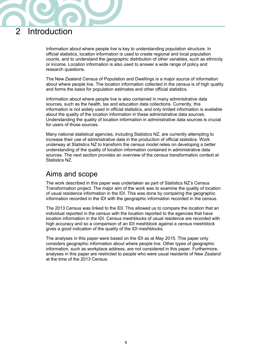## <span id="page-5-0"></span>2 Introduction

Information about where people live is key to understanding population structure. In official statistics, location information is used to create regional and local population counts, and to understand the geographic distribution of other variables, such as ethnicity or income. Location information is also used to answer a wide range of policy and research questions.

The New Zealand Census of Population and Dwellings is a major source of information about where people live. The location information collected in the census is of high quality and forms the basis for population estimates and other official statistics.

Information about where people live is also contained in many administrative data sources, such as the health, tax and education data collections. Currently, this information is not widely used in official statistics, and only limited information is available about the quality of the location information in these administrative data sources. Understanding the quality of location information in administrative data sources is crucial for users of those sources.

Many national statistical agencies, including Statistics NZ, are currently attempting to increase their use of administrative data in the production of official statistics. Work underway at Statistics NZ to transform the census model relies on developing a better understanding of the quality of location information contained in administrative data sources. The next section provides an overview of the census transformation context at Statistics NZ.

### <span id="page-5-1"></span>Aims and scope

The work described in this paper was undertaken as part of Statistics NZ's Census Transformation project. The major aim of the work was to examine the quality of location of usual residence information in the IDI. This was done by comparing the geographic information recorded in the IDI with the geographic information recorded in the census.

The 2013 Census was linked to the IDI. This allowed us to compare the location that an individual reported in the census with the location reported to the agencies that have location information in the IDI. Census meshblocks of usual residence are recorded with high accuracy and so a comparison of an IDI meshblock against a census meshblock gives a good indication of the quality of the IDI meshblocks.

The analyses in this paper were based on the IDI as at May 2015. This paper only considers geographic information about where people live. Other types of geographic information, such as workplace address, are not considered in this paper. Furthermore, analyses in this paper are restricted to people who were usual residents of New Zealand at the time of the 2013 Census.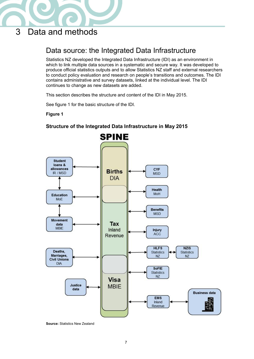

# <span id="page-6-0"></span>3 Data and methods

## <span id="page-6-1"></span>Data source: the Integrated Data Infrastructure

Statistics NZ developed the Integrated Data Infrastructure (IDI) as an environment in which to link multiple data sources in a systematic and secure way. It was developed to produce official statistics outputs and to allow Statistics NZ staff and external researchers to conduct policy evaluation and research on people's transitions and outcomes. The IDI contains administrative and survey datasets, linked at the individual level. The IDI continues to change as new datasets are added.

This section describes the structure and content of the IDI in May 2015.

See figure 1 for the basic structure of the IDI.

#### <span id="page-6-2"></span>**Figure 1**



#### **Structure of the Integrated Data Infrastructure in May 2015**

**Source:** Statistics New Zealand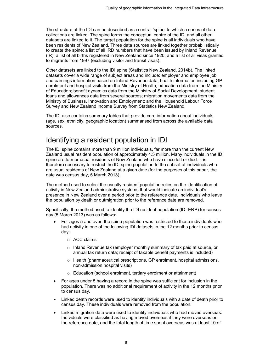The structure of the IDI can be described as a central 'spine' to which a series of data collections are linked. The spine forms the conceptual centre of the IDI and all other datasets are linked to it. The target population for the spine is all individuals who have been residents of New Zealand. Three data sources are linked together probabilistically to create the spine: a list of all IRD numbers that have been issued by Inland Revenue (IR); a list of all births registered in New Zealand since 1920; and a list of all visas granted to migrants from 1997 (excluding visitor and transit visas).

Other datasets are linked to the IDI spine (Statistics New Zealand, 2014b). The linked datasets cover a wide range of subject areas and include: employer and employee job and earnings information based on Inland Revenue data; health information including GP enrolment and hospital visits from the Ministry of Health; education data from the Ministry of Education; benefit dynamics data from the Ministry of Social Development; student loans and allowances data from several sources; migration movements data from the Ministry of Business, Innovation and Employment; and the Household Labour Force Survey and New Zealand Income Survey from Statistics New Zealand.

The IDI also contains summary tables that provide core information about individuals (age, sex, ethnicity, geographic location) summarised from across the available data sources.

### <span id="page-7-0"></span>Identifying a resident population in IDI

The IDI spine contains more than 9 million individuals, far more than the current New Zealand usual resident population of approximately 4.5 million. Many individuals in the IDI spine are former usual residents of New Zealand who have since left or died. It is therefore necessary to restrict the IDI spine population to the subset of individuals who are usual residents of New Zealand at a given date (for the purposes of this paper, the date was census day, 5 March 2013).

The method used to select the usually resident population relies on the identification of activity in New Zealand administrative systems that would indicate an individual's presence in New Zealand over a period prior to the reference date. Individuals who leave the population by death or outmigration prior to the reference date are removed.

Specifically, the method used to identify the IDI resident population (IDI-ERP) for census day (5 March 2013) was as follows:

- <span id="page-7-1"></span> For ages 5 and over, the spine population was restricted to those individuals who had activity in one of the following IDI datasets in the 12 months prior to census day:
	- o ACC claims
	- $\circ$  Inland Revenue tax (employer monthly summary of tax paid at source, or annual tax return data; receipt of taxable benefit payments is included)
	- o Health (pharmaceutical prescriptions, GP enrolment, hospital admissions, non-admission hospital visits)
	- o Education (school enrolment, tertiary enrolment or attainment)
- For ages under 5 having a record in the spine was sufficient for inclusion in the population. There was no additional requirement of activity in the 12 months prior to census day.
- Linked death records were used to identify individuals with a date of death prior to census day. These individuals were removed from the population.
- Linked migration data were used to identify individuals who had moved overseas. Individuals were classified as having moved overseas if they were overseas on the reference date, and the total length of time spent overseas was at least 10 of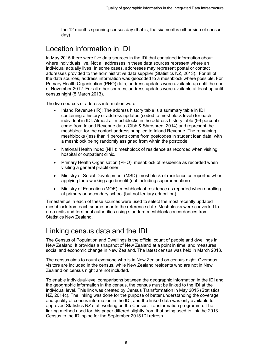the 12 months spanning census day (that is, the six months either side of census day).

# <span id="page-8-0"></span>Location information in IDI

In May 2015 there were five data sources in the IDI that contained information about where individuals live. Not all addresses in these data sources represent where an individual actually lives. In some cases, addresses may represent postal or contact addresses provided to the administrative data supplier (Statistics NZ, 2013). For all of the data sources, address information was geocoded to a meshblock where possible. For Primary Health Organisation (PHO) data, address updates were available up until the end of November 2012. For all other sources, address updates were available at least up until census night (5 March 2013).

The five sources of address information were:

- Inland Revenue (IR): The address history table is a summary table in IDI containing a history of address updates (coded to meshblock level) for each individual in IDI. Almost all meshblocks in the address history table (99 percent) come from Inland Revenue data (Gibb & Shrosbree, 2014) and represent the meshblock for the contact address supplied to Inland Revenue. The remaining meshblocks (less than 1 percent) come from postcodes in student loan data, with a meshblock being randomly assigned from within the postcode.
- National Health Index (NHI): meshblock of residence as recorded when visiting hospital or outpatient clinic.
- Primary Health Organisation (PHO): meshblock of residence as recorded when visiting a general practitioner.
- Ministry of Social Development (MSD): meshblock of residence as reported when applying for a working age benefit (not including superannuation).
- Ministry of Education (MOE): meshblock of residence as reported when enrolling at primary or secondary school (but not tertiary education).

Timestamps in each of these sources were used to select the most recently updated meshblock from each source prior to the reference date. Meshblocks were converted to area units and territorial authorities using standard meshblock concordances from Statistics New Zealand.

### <span id="page-8-1"></span>Linking census data and the IDI

The Census of Population and Dwellings is the official count of people and dwellings in New Zealand. It provides a snapshot of New Zealand at a point in time, and measures social and economic change in New Zealand. The latest census was held in March 2013.

The census aims to count everyone who is in New Zealand on census night. Overseas visitors are included in the census, while New Zealand residents who are not in New Zealand on census night are not included.

To enable individual-level comparisons between the geographic information in the IDI and the geographic information in the census, the census must be linked to the IDI at the individual level. This link was created by Census Transformation in May 2015 (Statistics NZ, 2014c). The linking was done for the purpose of better understanding the coverage and quality of census information in the IDI, and the linked data was only available to approved Statistics NZ staff working on the Census Transformation programme. The linking method used for this paper differed slightly from that being used to link the 2013 Census to the IDI spine for the September 2015 IDI refresh.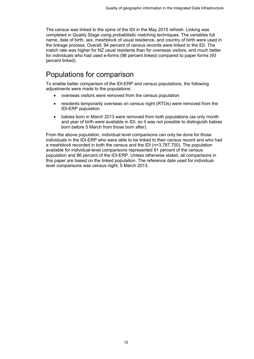The census was linked to the spine of the IDI in the May 2015 refresh. Linking was completed in Quality Stage using probabilistic matching techniques. The variables full name, date of birth, sex, meshblock of usual residence, and country of birth were used in the linkage process. Overall, 94 percent of census records were linked to the IDI. The match rate was higher for NZ usual residents than for overseas visitors, and much better for individuals who had used e-forms (98 percent linked) compared to paper forms (93 percent linked).

### <span id="page-9-0"></span>Populations for comparison

To enable better comparison of the IDI-ERP and census populations, the following adjustments were made to the populations:

- overseas visitors were removed from the census population
- residents temporarily overseas on census night (RTOs) were removed from the IDI-ERP population
- babies born in March 2013 were removed from both populations (as only month and year of birth were available in IDI, so it was not possible to distinguish babies born before 5 March from those born after).

From the above population, individual level comparisons can only be done for those individuals in the IDI-ERP who were able to be linked to their census record and who had a meshblock recorded in both the census and the IDI (n=3,787,700). The population available for individual-level comparisons represented 91 percent of the census population and 86 percent of the IDI-ERP. Unless otherwise stated, all comparisons in this paper are based on the linked population. The reference date used for individuallevel comparisons was census night, 5 March 2013.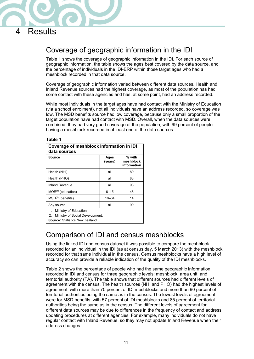

# <span id="page-10-0"></span>4 Results

## <span id="page-10-1"></span>Coverage of geographic information in the IDI

Table 1 shows the coverage of geographic information in the IDI. For each source of geographic information, the table shows the ages best covered by the data source, and the percentage of individuals in the IDI-ERP within those target ages who had a meshblock recorded in that data source.

Coverage of geographic information varied between different data sources. Health and Inland Revenue sources had the highest coverage, as most of the population has had some contact with these agencies and has, at some point, had an address recorded.

While most individuals in the target ages have had contact with the Ministry of Education (via a school enrolment), not all individuals have an address recorded, so coverage was low. The MSD benefits source had low coverage, because only a small proportion of the target population have had contact with MSD. Overall, when the data sources were combined, they had very good coverage of the population, with 99 percent of people having a meshblock recorded in at least one of the data sources.

#### **Table 1**

<span id="page-10-3"></span>

| Coverage of meshblock information in IDI<br>data sources                                                       |                 |                                    |  |
|----------------------------------------------------------------------------------------------------------------|-----------------|------------------------------------|--|
| Source                                                                                                         | Ages<br>(years) | % with<br>meshblock<br>information |  |
| Health (NHI)                                                                                                   | all             | 89                                 |  |
| Health (PHO)                                                                                                   | all             | 83                                 |  |
| <b>Inland Revenue</b>                                                                                          | all             | 93                                 |  |
| $MOE^{(1)}$ (education)                                                                                        | $6 - 15$        | 48                                 |  |
| $MSD(2)$ (benefits)                                                                                            | $18 - 64$       | 14                                 |  |
| Any source                                                                                                     | all             | 99                                 |  |
| Ministry of Education.<br>1.<br>Ministry of Social Development.<br>2.<br><b>Source:</b> Statistics New Zealand |                 |                                    |  |

### <span id="page-10-2"></span>Comparison of IDI and census meshblocks

Using the linked IDI and census dataset it was possible to compare the meshblock recorded for an individual in the IDI (as at census day, 5 March 2013) with the meshblock recorded for that same individual in the census. Census meshblocks have a high level of accuracy so can provide a reliable indication of the quality of the IDI meshblocks.

Table 2 shows the percentage of people who had the same geographic information recorded in IDI and census for three geographic levels: meshblock; area unit; and territorial authority (TA). The table shows that different sources had different levels of agreement with the census. The health sources (NHI and PHO) had the highest levels of agreement, with more than 70 percent of IDI meshblocks and more than 90 percent of territorial authorities being the same as in the census. The lowest levels of agreement were for MSD benefits, with 57 percent of IDI meshblocks and 85 percent of territorial authorities being the same as in the census. The different levels of agreement for different data sources may be due to differences in the frequency of contact and address updating procedures at different agencies. For example, many individuals do not have regular contact with Inland Revenue, so they may not update Inland Revenue when their address changes.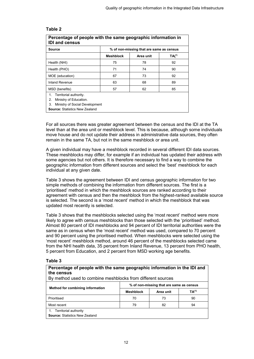#### **Table 2**

<span id="page-11-1"></span><span id="page-11-0"></span>

| Percentage of people with the same geographic information in<br><b>IDI and census</b>                                                         |                                          |           |                   |  |
|-----------------------------------------------------------------------------------------------------------------------------------------------|------------------------------------------|-----------|-------------------|--|
| Source                                                                                                                                        | % of non-missing that are same as census |           |                   |  |
|                                                                                                                                               | <b>Meshblock</b>                         | Area unit | TA <sup>(1)</sup> |  |
| Health (NHI)                                                                                                                                  | 75                                       | 78        | 92                |  |
| Health (PHO)                                                                                                                                  | 71                                       | 74        | 90                |  |
| MOE (education)                                                                                                                               | 67                                       | 73        | 92                |  |
| Inland Revenue                                                                                                                                | 63                                       | 68        | 89                |  |
| MSD (benefits)                                                                                                                                | 57                                       | 62        | 85                |  |
| Territorial authority.<br>1.<br>Ministry of Education.<br>2.<br>Ministry of Social Development<br>3.<br><b>Source: Statistics New Zealand</b> |                                          |           |                   |  |

For all sources there was greater agreement between the census and the IDI at the TA level than at the area unit or meshblock level. This is because, although some individuals move house and do not update their address in administrative data sources, they often remain in the same TA, but not in the same meshblock or area unit.

A given individual may have a meshblock recorded in several different IDI data sources. These meshblocks may differ, for example if an individual has updated their address with some agencies but not others. It is therefore necessary to find a way to combine the geographic information from different sources and select the 'best' meshblock for each individual at any given date.

Table 3 shows the agreement between IDI and census geographic information for two simple methods of combining the information from different sources. The first is a 'prioritised' method in which the meshblock sources are ranked according to their agreement with census and then the meshblock from the highest-ranked available source is selected. The second is a 'most recent' method in which the meshblock that was updated most recently is selected.

Table 3 shows that the meshblocks selected using the 'most recent' method were more likely to agree with census meshblocks than those selected with the 'prioritised' method. Almost 80 percent of IDI meshblocks and 94 percent of IDI territorial authorities were the same as in census when the 'most recent' method was used, compared to 70 percent and 90 percent using the prioritised method. When meshblocks were selected using the 'most recent' meshblock method, around 46 percent of the meshblocks selected came from the NHI health data, 35 percent from Inland Revenue, 13 percent from PHO health, 5 percent from Education, and 2 percent from MSD working age benefits.

#### **Table 3**

#### <span id="page-11-2"></span>**Percentage of people with the same geographic information in the IDI and the census**

By method used to combine meshblocks from different sources

| Method for combining information                                     | % of non-missing that are same as census |           |                   |  |
|----------------------------------------------------------------------|------------------------------------------|-----------|-------------------|--|
|                                                                      | <b>Meshblock</b>                         | Area unit | TA <sup>(1)</sup> |  |
| Prioritised                                                          | 70                                       | 73        | 90                |  |
| Most recent                                                          | 79                                       | 82        | 94                |  |
| Territorial authority<br>1.<br><b>Source: Statistics New Zealand</b> |                                          |           |                   |  |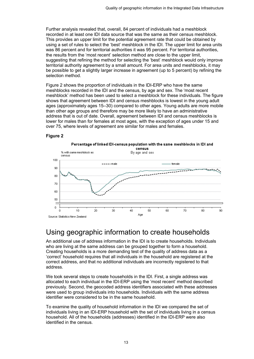Further analysis revealed that, overall, 84 percent of individuals had a meshblock recorded in at least one IDI data source that was the same as their census meshblock. This provides an upper limit for the potential agreement rate that could be obtained by using a set of rules to select the 'best' meshblock in the IDI. The upper limit for area units was 86 percent and for territorial authorities it was 95 percent. For territorial authorities, the results from the 'most recent' selection method are close to the upper limit, suggesting that refining the method for selecting the 'best' meshblock would only improve territorial authority agreement by a small amount. For area units and meshblocks, it may be possible to get a slightly larger increase in agreement (up to 5 percent) by refining the selection method.

Figure 2 shows the proportion of individuals in the IDI-ERP who have the same meshblocks recorded in the IDI and the census, by age and sex. The 'most recent meshblock' method has been used to select a meshblock for these individuals. The figure shows that agreement between IDI and census meshblocks is lowest in the young adult ages (approximately ages 15–30) compared to other ages. Young adults are more mobile than other age groups and therefore may be more likely to have an administrative address that is out of date. Overall, agreement between IDI and census meshblocks is lower for males than for females at most ages, with the exception of ages under 15 and over 75, where levels of agreement are similar for males and females.

#### **Figure 2**

<span id="page-12-1"></span>

### <span id="page-12-0"></span>Using geographic information to create households

An additional use of address information in the IDI is to create households. Individuals who are living at the same address can be grouped together to form a household. Creating households is a more demanding test of the quality of address data as a 'correct' household requires that all individuals in the household are registered at the correct address, and that no additional individuals are incorrectly registered to that address.

We took several steps to create households in the IDI. First, a single address was allocated to each individual in the IDI-ERP using the 'most recent' method described previously. Second, the geocoded address identifiers associated with these addresses were used to group individuals into households. Individuals with the same address identifier were considered to be in the same household.

To examine the quality of household information in the IDI we compared the set of individuals living in an IDI-ERP household with the set of individuals living in a census household. All of the households (addresses) identified in the IDI-ERP were also identified in the census.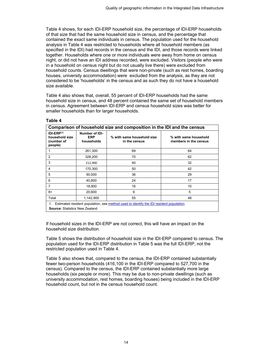Table 4 shows, for each IDI-ERP household size, the percentage of IDI-ERP households of that size that had the same household size in census, and the percentage that contained the exact same individuals in census. The population used for the household analysis in Table 4 was restricted to households where all household members (as specified in the IDI) had records in the census and the IDI, and those records were linked together. Households where one or more individuals were away from home on census night, or did not have an IDI address recorded, were excluded. Visitors (people who were in a household on census night but do not usually live there) were excluded from household counts. Census dwellings that were non-private (such as rest homes, boarding houses, university accommodation) were excluded from the analysis, as they are not considered to be 'households' in the census and as such they do not have a household size available.

Table 4 also shows that, overall, 55 percent of IDI-ERP households had the same household size in census, and 48 percent contained the same set of household members in census. Agreement between IDI-ERP and census household sizes was better for smaller households than for larger households.

<span id="page-13-0"></span>

| Comparison of household size and composition in the IDI and the census                                                              |                                            |                                             |                                                |
|-------------------------------------------------------------------------------------------------------------------------------------|--------------------------------------------|---------------------------------------------|------------------------------------------------|
| $IDI-ERP(1)$<br>household size<br>(number of<br>people)                                                                             | Number of IDI-<br><b>ERP</b><br>households | % with same household size<br>in the census | % with same household<br>members in the census |
|                                                                                                                                     | 261,300                                    | 69                                          | 64                                             |
| 2                                                                                                                                   | 328,200                                    | 70                                          | 62                                             |
| 3                                                                                                                                   | 212,900                                    | 40                                          | 32                                             |
| 4                                                                                                                                   | 170,300                                    | 50                                          | 42                                             |
| 5                                                                                                                                   | 90,000                                     | 36                                          | 29                                             |
| 6                                                                                                                                   | 40,800                                     | 24                                          | 17                                             |
| 7                                                                                                                                   | 18,900                                     | 16                                          | 10                                             |
| $8+$                                                                                                                                | 20,600                                     | 9                                           | 5                                              |
| Total                                                                                                                               | 1,142,900                                  | 55                                          | 48                                             |
| 1. Estimated resident population, see method used to identify the IDI resident population.<br><b>Source: Statistics New Zealand</b> |                                            |                                             |                                                |

#### **Table 4**

If household sizes in the IDI-ERP are not correct, this will have an impact on the household size distribution.

Table 5 shows the distribution of household size in the IDI-ERP compared to census. The population used for the IDI-ERP distribution in Table 5 was the full IDI-ERP, not the restricted population used in Table 4.

Table 5 also shows that, compared to the census, the IDI-ERP contained substantially fewer two-person households (416,100 in the IDI-ERP compared to 527,700 in the census). Compared to the census, the IDI-ERP contained substantially more large households (six people or more). This may be due to non-private dwellings (such as university accommodation, rest homes, boarding houses) being included in the IDI-ERP household count, but not in the census household count.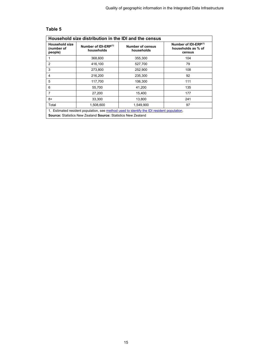#### **Table 5**

<span id="page-14-0"></span>

| Household size distribution in the IDI and the census                                                                                                                     |                                    |                                       |                                                                  |  |
|---------------------------------------------------------------------------------------------------------------------------------------------------------------------------|------------------------------------|---------------------------------------|------------------------------------------------------------------|--|
| <b>Household size</b><br>(number of<br>people)                                                                                                                            | Number of IDI-ERP(1)<br>households | <b>Number of census</b><br>households | Number of IDI-ERP <sup>(1)</sup><br>households as % of<br>census |  |
|                                                                                                                                                                           | 368,600                            | 355,300                               | 104                                                              |  |
| $\overline{2}$                                                                                                                                                            | 416,100                            | 527,700                               | 79                                                               |  |
| 3                                                                                                                                                                         | 273,800                            | 252,900                               | 108                                                              |  |
| 4                                                                                                                                                                         | 216,200                            | 235,300                               | 92                                                               |  |
| 5                                                                                                                                                                         | 117,700                            | 106,300                               | 111                                                              |  |
| 6                                                                                                                                                                         | 55,700                             | 41,200                                | 135                                                              |  |
| 7                                                                                                                                                                         | 27,200                             | 15,400                                | 177                                                              |  |
| 8+                                                                                                                                                                        | 33,300                             | 13,800                                | 241                                                              |  |
| Total                                                                                                                                                                     | 1.508.600                          | 1.549.900                             | 97                                                               |  |
| 1. Estimated resident population, see method used to identify the IDI resident population.<br><b>Source:</b> Statistics New Zealand <b>Source:</b> Statistics New Zealand |                                    |                                       |                                                                  |  |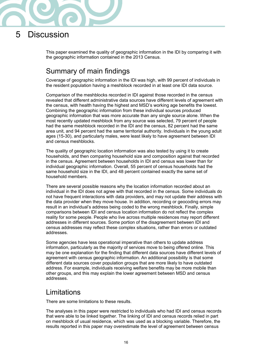# <span id="page-15-0"></span>5 Discussion

This paper examined the quality of geographic information in the IDI by comparing it with the geographic information contained in the 2013 Census.

### <span id="page-15-1"></span>Summary of main findings

Coverage of geographic information in the IDI was high, with 99 percent of individuals in the resident population having a meshblock recorded in at least one IDI data source.

Comparison of the meshblocks recorded in IDI against those recorded in the census revealed that different administrative data sources have different levels of agreement with the census, with health having the highest and MSD's working age benefits the lowest. Combining the geographic information from these individual sources produced geographic information that was more accurate than any single source alone. When the most recently updated meshblock from any source was selected, 79 percent of people had the same meshblock recorded in the IDI and the census, 82 percent had the same area unit, and 94 percent had the same territorial authority. Individuals in the young adult ages (15-30), and particularly males, were least likely to have agreement between IDI and census meshblocks.

The quality of geographic location information was also tested by using it to create households, and then comparing household size and composition against that recorded in the census. Agreement between households in IDI and census was lower than for individual geographic information. Overall, 55 percent of census households had the same household size in the IDI, and 48 percent contained exactly the same set of household members.

There are several possible reasons why the location information recorded about an individual in the IDI does not agree with that recorded in the census. Some individuals do not have frequent interactions with data providers, and may not update their address with the data provider when they move house. In addition, recording or geocoding errors may result in an individual's address being coded to the wrong meshblock. Finally, simple comparisons between IDI and census location information do not reflect the complex reality for some people. People who live across multiple residences may report different addresses in different sources. Some portion of the disagreement between IDI and census addresses may reflect these complex situations, rather than errors or outdated addresses.

Some agencies have less operational imperative than others to update address information, particularly as the majority of services move to being offered online. This may be one explanation for the finding that different data sources have different levels of agreement with census geographic information. An additional possibility is that some different data sources cover population groups that are more likely to have outdated address. For example, individuals receiving welfare benefits may be more mobile than other groups, and this may explain the lower agreement between MSD and census addresses.

### <span id="page-15-2"></span>Limitations

There are some limitations to these results.

The analyses in this paper were restricted to individuals who had IDI and census records that were able to be linked together. The linking of IDI and census records relied in part on meshblock of usual residence, which was used as a blocking variable. Therefore, the results reported in this paper may overestimate the level of agreement between census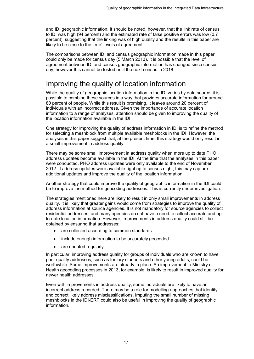and IDI geographic information. It should be noted, however, that the link rate of census to IDI was high (94 percent) and the estimated rate of false positive errors was low (0.7 percent), suggesting that the linking was of high quality and the results in this paper are likely to be close to the 'true' levels of agreement.

The comparisons between IDI and census geographic information made in this paper could only be made for census day (5 March 2013). It is possible that the level of agreement between IDI and census geographic information has changed since census day, however this cannot be tested until the next census in 2018.

### <span id="page-16-0"></span>Improving the quality of location information

While the quality of geographic location information in the IDI varies by data source, it is possible to combine these sources in a way that provides accurate information for around 80 percent of people. While this result is promising, it leaves around 20 percent of individuals with an incorrect address. Given the importance of accurate location information to a range of analyses, attention should be given to improving the quality of the location information available in the IDI.

One strategy for improving the quality of address information in IDI is to refine the method for selecting a meshblock from multiple available meshblocks in the IDI. However, the analyses in this paper suggest that, at the present time, this strategy would only result in a small improvement in address quality.

There may be some small improvement in address quality when more up to date PHO address updates become available in the IDI. At the time that the analyses in this paper were conducted, PHO address updates were only available to the end of November 2012. If address updates were available right up to census night, this may capture additional updates and improve the quality of the location information.

Another strategy that could improve the quality of geographic information in the IDI could be to improve the method for geocoding addresses. This is currently under investigation.

The strategies mentioned here are likely to result in only small improvements in address quality. It is likely that greater gains would come from strategies to improve the quality of address information at source agencies. It is not mandatory for source agencies to collect residential addresses, and many agencies do not have a need to collect accurate and upto-date location information. However, improvements in address quality could still be obtained by ensuring that addresses:

- are collected according to common standards
- include enough information to be accurately geocoded
- are updated regularly.

In particular, improving address quality for groups of individuals who are known to have poor quality addresses, such as tertiary students and other young adults, could be worthwhile. Some improvements are already in place. An improvement to Ministry of Health geocoding processes in 2013, for example, is likely to result in improved quality for newer health addresses.

Even with improvements in address quality, some individuals are likely to have an incorrect address recorded. There may be a role for modelling approaches that identify and correct likely address misclassifications. Imputing the small number of missing meshblocks in the IDI-ERP could also be useful in improving the quality of geographic information.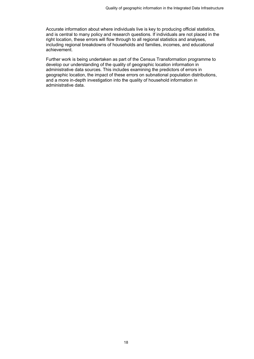Accurate information about where individuals live is key to producing official statistics, and is central to many policy and research questions. If individuals are not placed in the right location, these errors will flow through to all regional statistics and analyses, including regional breakdowns of households and families, incomes, and educational achievement.

Further work is being undertaken as part of the Census Transformation programme to develop our understanding of the quality of geographic location information in administrative data sources. This includes examining the predictors of errors in geographic location, the impact of these errors on subnational population distributions, and a more in-depth investigation into the quality of household information in administrative data.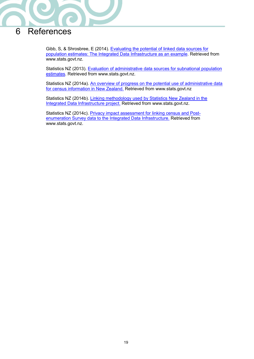

# <span id="page-18-0"></span>6 References

Gibb, S, & Shrosbree, E (2014). [Evaluating the potential of linked data sources for](http://www.stats.govt.nz/methods/research-papers/topss/evaluating-potential-linked-data-sources.aspx)  [population estimates: The Integrated Data Infrastructure as an example.](http://www.stats.govt.nz/methods/research-papers/topss/evaluating-potential-linked-data-sources.aspx) Retrieved from www.stats.govt.nz.

Statistics NZ (2013). [Evaluation of administrative data sources for subnational population](http://www.stats.govt.nz/browse_for_stats/population/estimates_and_projections/eval-admin-subnat-pop-est.aspx)  [estimates.](http://www.stats.govt.nz/browse_for_stats/population/estimates_and_projections/eval-admin-subnat-pop-est.aspx) Retrieved from www.stats.govt.nz.

Statistics NZ (2014a). [An overview of progress on the potential use of administrative data](http://www.stats.govt.nz/methods/research-papers/topss/census-admin-data.aspx)  [for census information in New Zealand.](http://www.stats.govt.nz/methods/research-papers/topss/census-admin-data.aspx) Retrieved from www.stats.govt.nz

Statistics NZ (2014b). [Linking methodology used by Statistics New Zealand in the](http://www.stats.govt.nz/browse_for_stats/snapshots-of-nz/integrated-data-infrastructure/linking-methodology-statsnz-idi.aspx)  [Integrated Data Infrastructure project.](http://www.stats.govt.nz/browse_for_stats/snapshots-of-nz/integrated-data-infrastructure/linking-methodology-statsnz-idi.aspx) Retrieved from www.stats.govt.nz.

Statistics NZ (2014c). [Privacy impact assessment for linking census and Post](http://www.stats.govt.nz/methods/data-integration/data-integration-projects/census-idi-linking-PIA.aspx)[enumeration Survey data to the Integrated Data Infrastructure.](http://www.stats.govt.nz/methods/data-integration/data-integration-projects/census-idi-linking-PIA.aspx) Retrieved from [www.stats.govt.nz.](http://www.stats.govt.nz/)